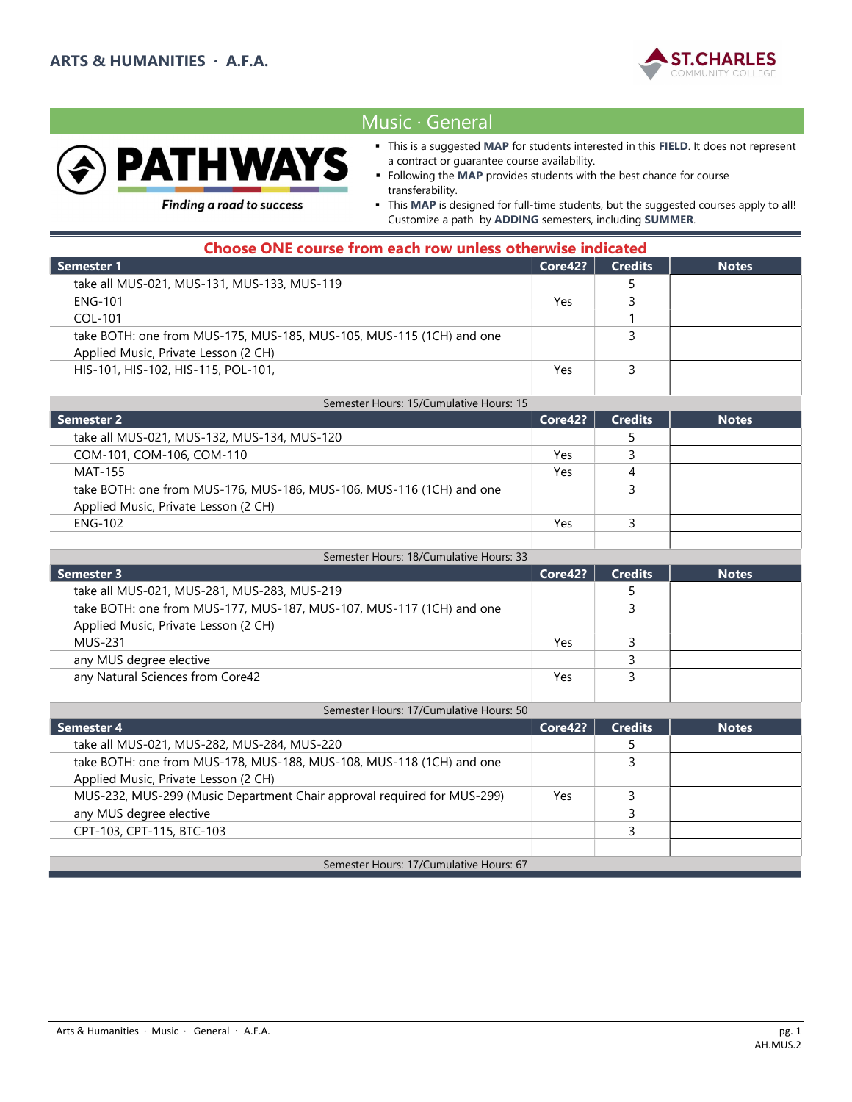



# Music ∙ General

- This is a suggested MAP for students interested in this FIELD. It does not represent a contract or guarantee course availability.
- Following the MAP provides students with the best chance for course transferability.

**Finding a road to success** 

 This MAP is designed for full-time students, but the suggested courses apply to all! Customize a path by ADDING semesters, including SUMMER.

| <b>Choose ONE course from each row unless otherwise indicated</b>    |         |                |              |
|----------------------------------------------------------------------|---------|----------------|--------------|
| Semester 1                                                           | Core42? | <b>Credits</b> | <b>Notes</b> |
| take all MUS-021, MUS-131, MUS-133, MUS-119                          |         |                |              |
| ENG-101                                                              | Yes     |                |              |
| COL-101                                                              |         |                |              |
| take BOTH: one from MUS-175, MUS-185, MUS-105, MUS-115 (1CH) and one |         |                |              |
| Applied Music, Private Lesson (2 CH)                                 |         |                |              |
| HIS-101, HIS-102, HIS-115, POL-101,                                  | Yes     |                |              |
|                                                                      |         |                |              |
| Semester Hours: 15/Cumulative Hours: 15                              |         |                |              |

| Semester 2                                                           | Core42? | <b>Credits</b> | <b>Notes</b> |
|----------------------------------------------------------------------|---------|----------------|--------------|
| take all MUS-021, MUS-132, MUS-134, MUS-120                          |         |                |              |
| COM-101, COM-106, COM-110                                            | Yes     |                |              |
| MAT-155                                                              | Yes     |                |              |
| take BOTH: one from MUS-176, MUS-186, MUS-106, MUS-116 (1CH) and one |         |                |              |
| Applied Music, Private Lesson (2 CH)                                 |         |                |              |
| <b>ENG-102</b>                                                       | Yes     |                |              |
|                                                                      |         |                |              |

| Semester Hours: 18/Cumulative Hours: 33                              |         |                |              |
|----------------------------------------------------------------------|---------|----------------|--------------|
| Semester 3                                                           | Core42? | <b>Credits</b> | <b>Notes</b> |
| take all MUS-021, MUS-281, MUS-283, MUS-219                          |         |                |              |
| take BOTH: one from MUS-177, MUS-187, MUS-107, MUS-117 (1CH) and one |         |                |              |
| Applied Music, Private Lesson (2 CH)                                 |         |                |              |
| MUS-231                                                              | Yes     |                |              |
| any MUS degree elective                                              |         |                |              |
| any Natural Sciences from Core42                                     | Yes     |                |              |
|                                                                      |         |                |              |

| Semester Hours: 17/Cumulative Hours: 50                                 |         |                |              |
|-------------------------------------------------------------------------|---------|----------------|--------------|
| <b>Semester 4</b>                                                       | Core42? | <b>Credits</b> | <b>Notes</b> |
| take all MUS-021, MUS-282, MUS-284, MUS-220                             |         |                |              |
| take BOTH: one from MUS-178, MUS-188, MUS-108, MUS-118 (1CH) and one    |         |                |              |
| Applied Music, Private Lesson (2 CH)                                    |         |                |              |
| MUS-232, MUS-299 (Music Department Chair approval required for MUS-299) | Yes     |                |              |
| any MUS degree elective                                                 |         |                |              |
| CPT-103, CPT-115, BTC-103                                               |         |                |              |
|                                                                         |         |                |              |
| Semester Hours: 17/Cumulative Hours: 67                                 |         |                |              |